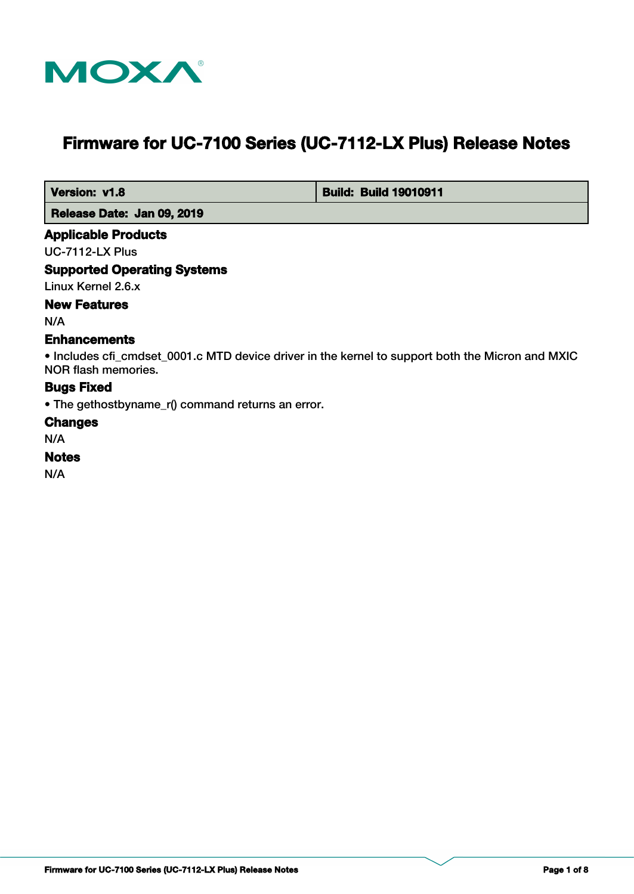

# **Firmware for UC-7100 Series (UC-7112-LX Plus) Release Notes**

 **Version: v1.8 Build: Build: Build 19010911** 

 **Release Date: Jan 09, 2019**

#### **Applicable Products**

UC-7112-LX Plus

## **Supported Operating Systems**

Linux Kernel 2.6.x

# **New Features**

N/A

## **Enhancements**

• Includes cfi\_cmdset\_0001.c MTD device driver in the kernel to support both the Micron and MXIC NOR flash memories.

## **Bugs Fixed**

• The gethostbyname\_r() command returns an error.

#### **Changes**

N/A

## **Notes**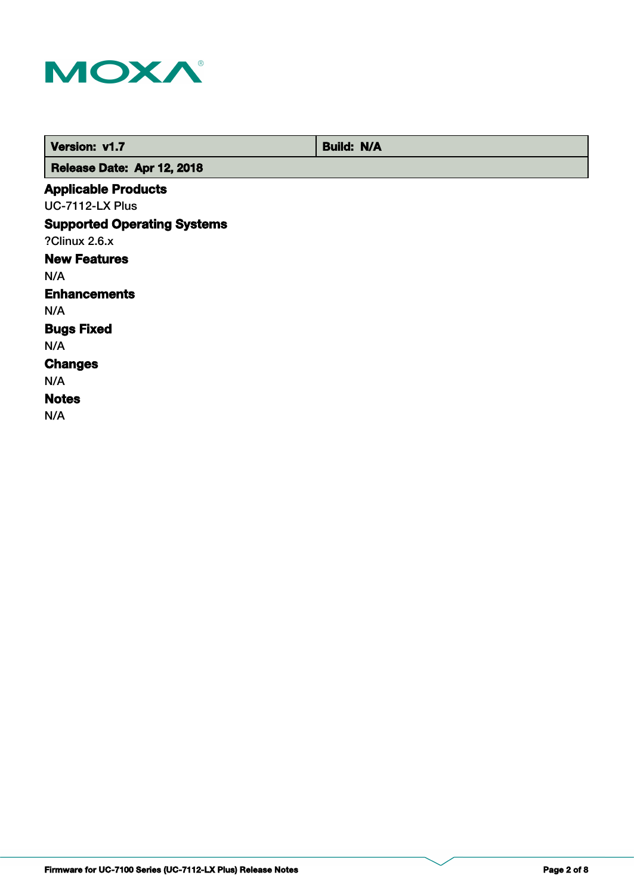

| Version: v1.7                      | <b>Build: N/A</b> |
|------------------------------------|-------------------|
| Release Date: Apr 12, 2018         |                   |
| <b>Applicable Products</b>         |                   |
| <b>UC-7112-LX Plus</b>             |                   |
| <b>Supported Operating Systems</b> |                   |
| ?Clinux 2.6.x                      |                   |
| <b>New Features</b>                |                   |
| N/A                                |                   |
| <b>Enhancements</b>                |                   |
| N/A                                |                   |
| <b>Bugs Fixed</b>                  |                   |
| N/A                                |                   |
| <b>Changes</b>                     |                   |
| N/A                                |                   |
| <b>Notes</b>                       |                   |
| N/A                                |                   |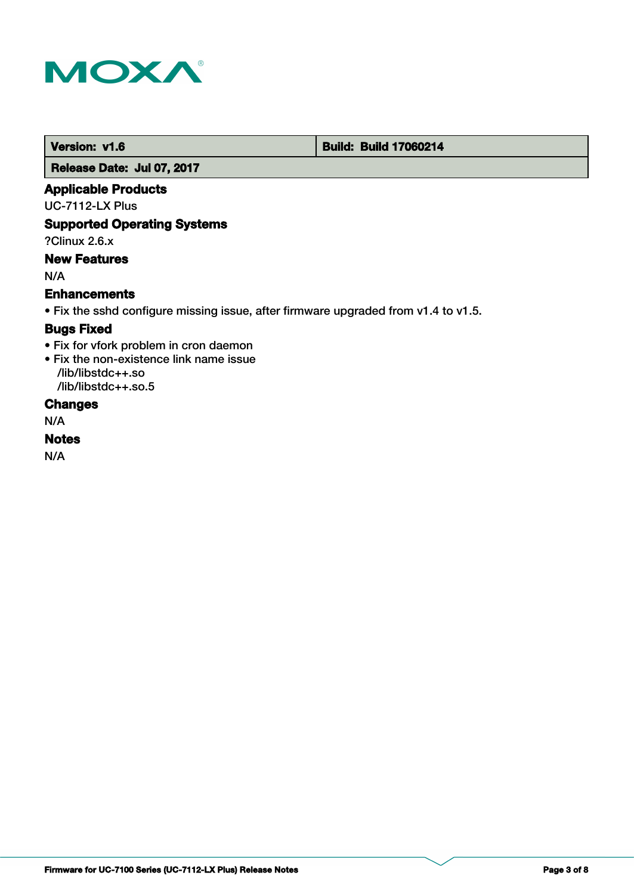

 **Version: v1.6 Build: Build: Build 17060214** 

 **Release Date: Jul 07, 2017**

#### **Applicable Products**

UC-7112-LX Plus

## **Supported Operating Systems**

?Clinux 2.6.x

## **New Features**

N/A

#### **Enhancements**

• Fix the sshd configure missing issue, after firmware upgraded from v1.4 to v1.5.

## **Bugs Fixed**

• Fix for vfork problem in cron daemon

• Fix the non-existence link name issue /lib/libstdc++.so

/lib/libstdc++.so.5

# **Changes**

N/A

## **Notes**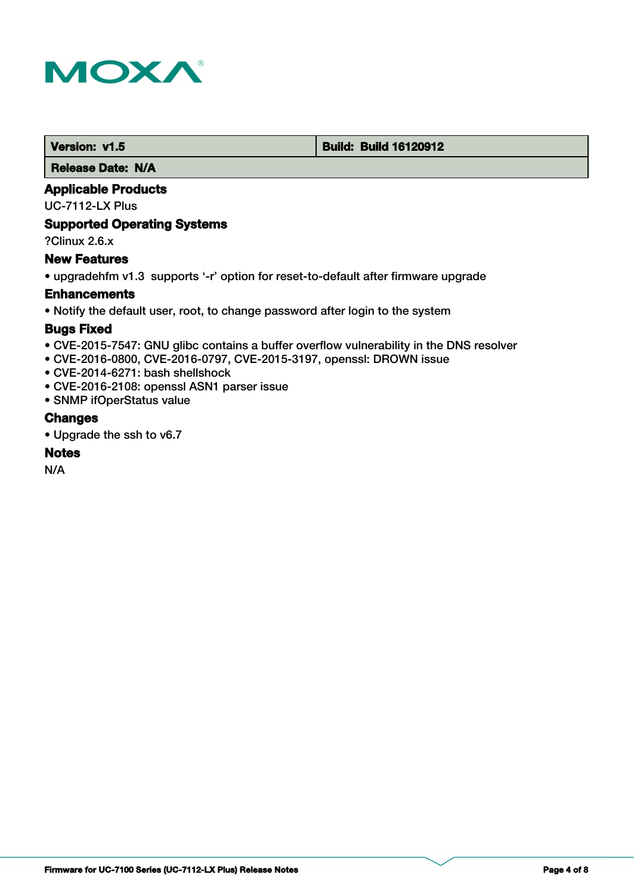

 **Version: v1.5 Build: Build: Build 16120912** 

 **Release Date: N/A**

## **Applicable Products**

UC-7112-LX Plus

## **Supported Operating Systems**

?Clinux 2.6.x

## **New Features**

• upgradehfm v1.3 supports '-r' option for reset-to-default after firmware upgrade

#### **Enhancements**

• Notify the default user, root, to change password after login to the system

#### **Bugs Fixed**

- CVE-2015-7547: GNU glibc contains a buffer overflow vulnerability in the DNS resolver
- CVE-2016-0800, CVE-2016-0797, CVE-2015-3197, openssl: DROWN issue
- CVE-2014-6271: bash shellshock
- CVE-2016-2108: openssl ASN1 parser issue
- SNMP ifOperStatus value

## **Changes**

• Upgrade the ssh to v6.7

#### **Notes**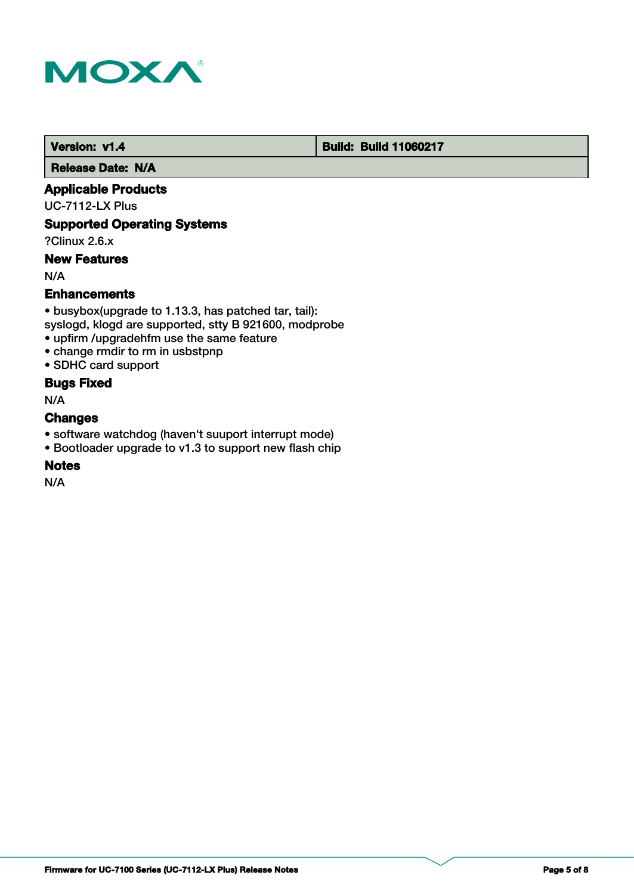

 **Version: v1.4 1.4 Build: Build: Build 11060217** 

 **Release Date: N/A**

## **Applicable Products**

UC-7112-LX Plus

## **Supported Operating Systems**

?Clinux 2.6.x

## **New Features**

N/A

## **Enhancements**

• busybox(upgrade to 1.13.3, has patched tar, tail): syslogd, klogd are supported, stty B 921600, modprobe

- upfirm /upgradehfm use the same feature
- change rmdir to rm in usbstpnp
- SDHC card support

## **Bugs Fixed**

N/A

## **Changes**

- software watchdog (haven't suuport interrupt mode)
- Bootloader upgrade to v1.3 to support new flash chip

## **Notes**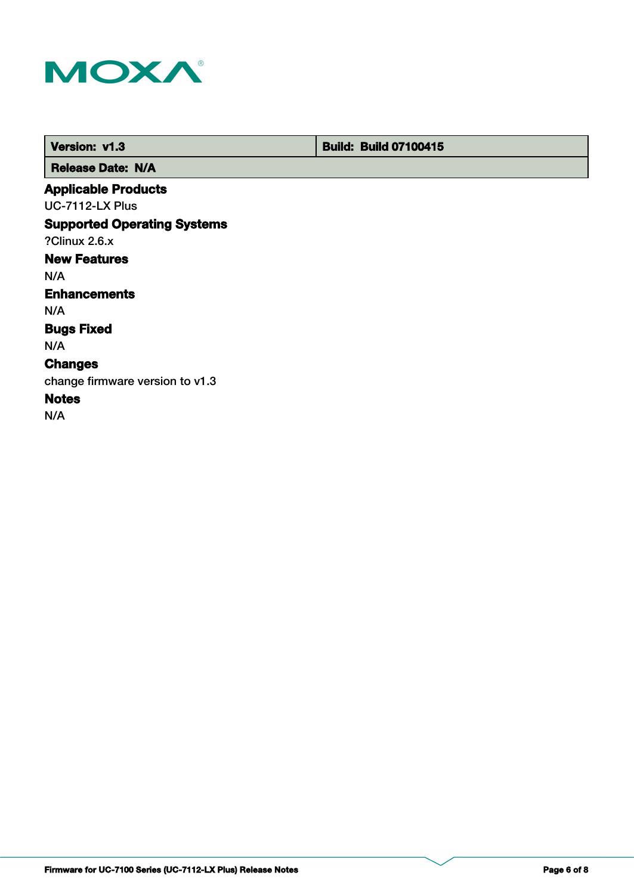

 **Version: v1.3 Build: Build: Build 07100415** 

 **Release Date: N/A**

## **Applicable Products**

UC-7112-LX Plus

# **Supported Operating Systems**

?Clinux 2.6.x

# **New Features**

N/A

#### **Enhancements**

N/A

#### **Bugs Fixed**

N/A

# **Changes**

change firmware version to v1.3

# **Notes**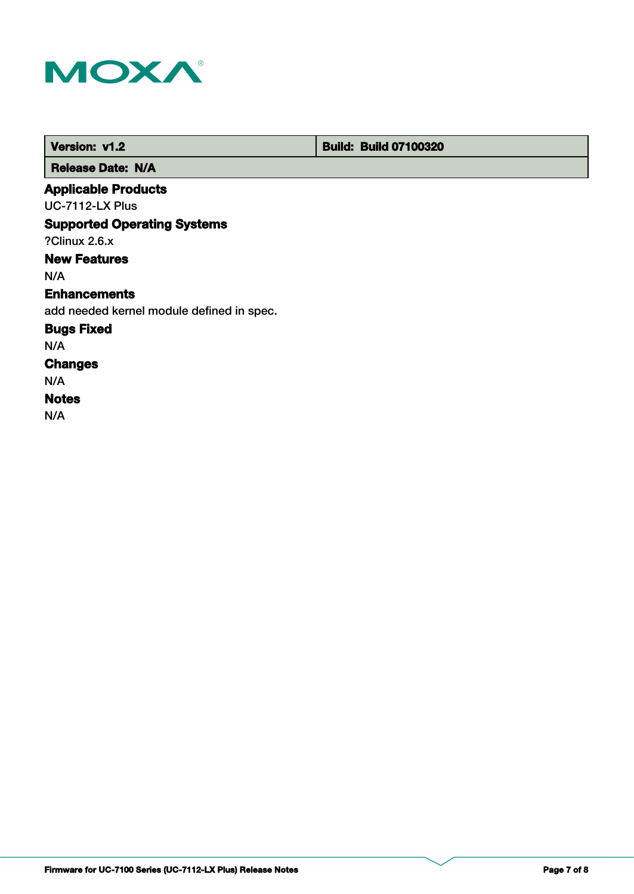

 **Version: v1.2 Build: Build: Build 07100320** 

 **Release Date: N/A**

## **Applicable Products**

UC-7112-LX Plus

## **Supported Operating Systems**

?Clinux 2.6.x

## **New Features**

N/A

#### **Enhancements**

add needed kernel module defined in spec.

#### **Bugs Fixed**

N/A

# **Changes**

N/A

#### **Notes**